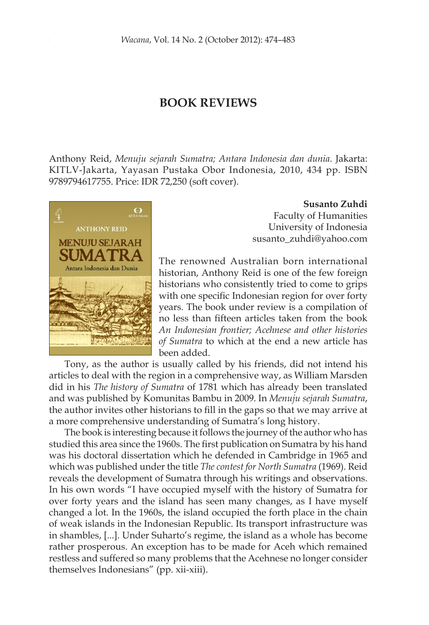# **BOOK REVIEWS**

Anthony Reid, *Menuju sejarah Sumatra; Antara Indonesia dan dunia*. Jakarta: KITLV-Jakarta, Yayasan Pustaka Obor Indonesia, 2010, 434 pp. ISBN 9789794617755. Price: IDR 72,250 (soft cover).



**Susanto Zuhdi**

Faculty of Humanities University of Indonesia susanto\_zuhdi@yahoo.com

The renowned Australian born international historian, Anthony Reid is one of the few foreign historians who consistently tried to come to grips with one specific Indonesian region for over forty years. The book under review is a compilation of no less than fifteen articles taken from the book *An Indonesian frontier; Acehnese and other histories of Sumatra* to which at the end a new article has been added.

Tony, as the author is usually called by his friends, did not intend his articles to deal with the region in a comprehensive way, as William Marsden did in his *The history of Sumatra* of 1781 which has already been translated and was published by Komunitas Bambu in 2009. In *Menuju sejarah Sumatra*, the author invites other historians to fill in the gaps so that we may arrive at a more comprehensive understanding of Sumatra's long history.

The book is interesting because it follows the journey of the author who has studied this area since the 1960s. The first publication on Sumatra by his hand was his doctoral dissertation which he defended in Cambridge in 1965 and which was published under the title *The contest for North Sumatra* (1969). Reid reveals the development of Sumatra through his writings and observations. In his own words "I have occupied myself with the history of Sumatra for over forty years and the island has seen many changes, as I have myself changed a lot. In the 1960s, the island occupied the forth place in the chain of weak islands in the Indonesian Republic. Its transport infrastructure was in shambles, [...]. Under Suharto's regime, the island as a whole has become rather prosperous. An exception has to be made for Aceh which remained restless and suffered so many problems that the Acehnese no longer consider themselves Indonesians" (pp. xii-xiii).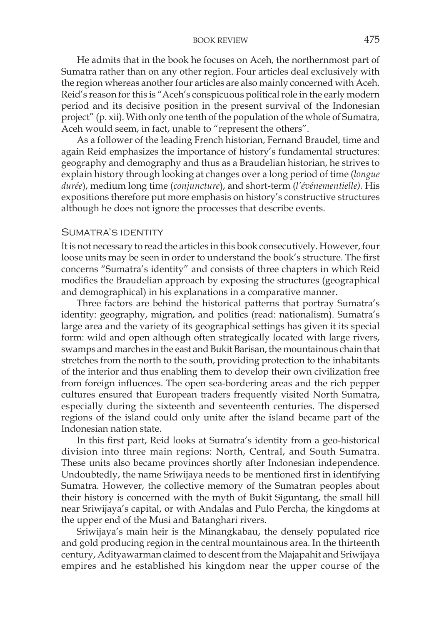## **BOOK REVIEW 475**

He admits that in the book he focuses on Aceh, the northernmost part of Sumatra rather than on any other region. Four articles deal exclusively with the region whereas another four articles are also mainly concerned with Aceh. Reid's reason for this is "Aceh's conspicuous political role in the early modern period and its decisive position in the present survival of the Indonesian project" (p. xii). With only one tenth of the population of the whole of Sumatra, Aceh would seem, in fact, unable to "represent the others".

As a follower of the leading French historian, Fernand Braudel, time and again Reid emphasizes the importance of history's fundamental structures: geography and demography and thus as a Braudelian historian, he strives to explain history through looking at changes over a long period of time (*longue durée*), medium long time (*conjuncture*), and short-term (*l'événementielle).* His expositions therefore put more emphasis on history's constructive structures although he does not ignore the processes that describe events.

#### Sumatra's identity

It is not necessary to read the articles in this book consecutively. However, four loose units may be seen in order to understand the book's structure. The first concerns "Sumatra's identity" and consists of three chapters in which Reid modifies the Braudelian approach by exposing the structures (geographical and demographical) in his explanations in a comparative manner.

Three factors are behind the historical patterns that portray Sumatra's identity: geography, migration, and politics (read: nationalism). Sumatra's large area and the variety of its geographical settings has given it its special form: wild and open although often strategically located with large rivers, swamps and marches in the east and Bukit Barisan, the mountainous chain that stretches from the north to the south, providing protection to the inhabitants of the interior and thus enabling them to develop their own civilization free from foreign influences. The open sea-bordering areas and the rich pepper cultures ensured that European traders frequently visited North Sumatra, especially during the sixteenth and seventeenth centuries. The dispersed regions of the island could only unite after the island became part of the Indonesian nation state.

In this first part, Reid looks at Sumatra's identity from a geo-historical division into three main regions: North, Central, and South Sumatra. These units also became provinces shortly after Indonesian independence. Undoubtedly, the name Sriwijaya needs to be mentioned first in identifying Sumatra. However, the collective memory of the Sumatran peoples about their history is concerned with the myth of Bukit Siguntang, the small hill near Sriwijaya's capital, or with Andalas and Pulo Percha, the kingdoms at the upper end of the Musi and Batanghari rivers.

Sriwijaya's main heir is the Minangkabau, the densely populated rice and gold producing region in the central mountainous area. In the thirteenth century, Adityawarman claimed to descent from the Majapahit and Sriwijaya empires and he established his kingdom near the upper course of the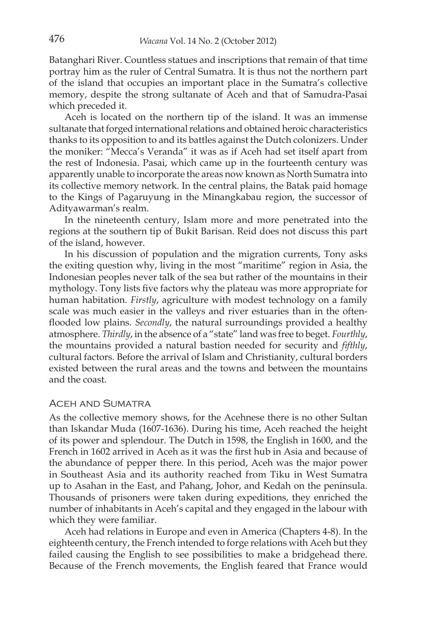Batanghari River. Countless statues and inscriptions that remain of that time portray him as the ruler of Central Sumatra. It is thus not the northern part of the island that occupies an important place in the Sumatra's collective memory, despite the strong sultanate of Aceh and that of Samudra-Pasai which preceded it.

Aceh is located on the northern tip of the island. It was an immense sultanate that forged international relations and obtained heroic characteristics thanks to its opposition to and its battles against the Dutch colonizers. Under the moniker: "Mecca's Veranda" it was as if Aceh had set itself apart from the rest of Indonesia. Pasai, which came up in the fourteenth century was apparently unable to incorporate the areas now known as North Sumatra into its collective memory network. In the central plains, the Batak paid homage to the Kings of Pagaruyung in the Minangkabau region, the successor of Adityawarman's realm.

In the nineteenth century, Islam more and more penetrated into the regions at the southern tip of Bukit Barisan. Reid does not discuss this part of the island, however.

In his discussion of population and the migration currents, Tony asks the exiting question why, living in the most "maritime" region in Asia, the Indonesian peoples never talk of the sea but rather of the mountains in their mythology. Tony lists five factors why the plateau was more appropriate for human habitation. *Firstly*, agriculture with modest technology on a family scale was much easier in the valleys and river estuaries than in the oftenflooded low plains. *Secondly*, the natural surroundings provided a healthy atmosphere. *Thirdly*, in the absence of a "state" land was free to beget. *Fourthly*, the mountains provided a natural bastion needed for security and *fifthly*, cultural factors. Before the arrival of Islam and Christianity, cultural borders existed between the rural areas and the towns and between the mountains and the coast.

#### Aceh and Sumatra

As the collective memory shows, for the Acehnese there is no other Sultan than Iskandar Muda (1607-1636). During his time, Aceh reached the height of its power and splendour. The Dutch in 1598, the English in 1600, and the French in 1602 arrived in Aceh as it was the first hub in Asia and because of the abundance of pepper there. In this period, Aceh was the major power in Southeast Asia and its authority reached from Tiku in West Sumatra up to Asahan in the East, and Pahang, Johor, and Kedah on the peninsula. Thousands of prisoners were taken during expeditions, they enriched the number of inhabitants in Aceh's capital and they engaged in the labour with which they were familiar.

Aceh had relations in Europe and even in America (Chapters 4-8). In the eighteenth century, the French intended to forge relations with Aceh but they failed causing the English to see possibilities to make a bridgehead there. Because of the French movements, the English feared that France would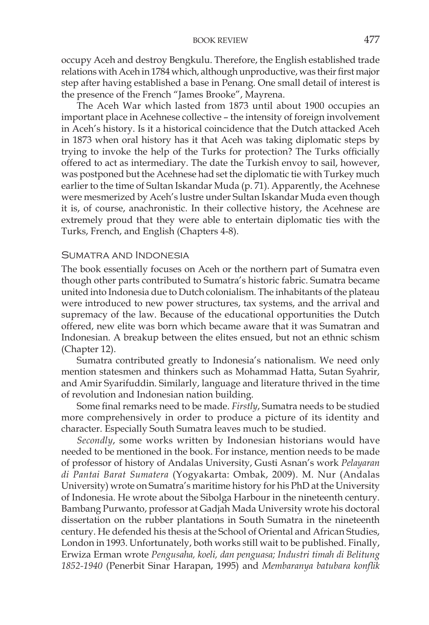occupy Aceh and destroy Bengkulu. Therefore, the English established trade relations with Aceh in 1784 which, although unproductive, was their first major step after having established a base in Penang. One small detail of interest is the presence of the French "James Brooke", Mayrena.

The Aceh War which lasted from 1873 until about 1900 occupies an important place in Acehnese collective – the intensity of foreign involvement in Aceh's history. Is it a historical coincidence that the Dutch attacked Aceh in 1873 when oral history has it that Aceh was taking diplomatic steps by trying to invoke the help of the Turks for protection? The Turks officially offered to act as intermediary. The date the Turkish envoy to sail, however, was postponed but the Acehnese had set the diplomatic tie with Turkey much earlier to the time of Sultan Iskandar Muda (p. 71). Apparently, the Acehnese were mesmerized by Aceh's lustre under Sultan Iskandar Muda even though it is, of course, anachronistic. In their collective history, the Acehnese are extremely proud that they were able to entertain diplomatic ties with the Turks, French, and English (Chapters 4-8).

#### Sumatra and Indonesia

The book essentially focuses on Aceh or the northern part of Sumatra even though other parts contributed to Sumatra's historic fabric. Sumatra became united into Indonesia due to Dutch colonialism. The inhabitants of the plateau were introduced to new power structures, tax systems, and the arrival and supremacy of the law. Because of the educational opportunities the Dutch offered, new elite was born which became aware that it was Sumatran and Indonesian. A breakup between the elites ensued, but not an ethnic schism (Chapter 12).

Sumatra contributed greatly to Indonesia's nationalism. We need only mention statesmen and thinkers such as Mohammad Hatta, Sutan Syahrir, and Amir Syarifuddin. Similarly, language and literature thrived in the time of revolution and Indonesian nation building.

Some final remarks need to be made. *Firstly*, Sumatra needs to be studied more comprehensively in order to produce a picture of its identity and character. Especially South Sumatra leaves much to be studied.

*Secondly*, some works written by Indonesian historians would have needed to be mentioned in the book. For instance, mention needs to be made of professor of history of Andalas University, Gusti Asnan's work *Pelayaran di Pantai Barat Sumatera* (Yogyakarta: Ombak, 2009). M. Nur (Andalas University) wrote on Sumatra's maritime history for his PhD at the University of Indonesia. He wrote about the Sibolga Harbour in the nineteenth century. Bambang Purwanto, professor at Gadjah Mada University wrote his doctoral dissertation on the rubber plantations in South Sumatra in the nineteenth century. He defended his thesis at the School of Oriental and African Studies, London in 1993. Unfortunately, both works still wait to be published. Finally, Erwiza Erman wrote *Pengusaha, koeli, dan penguasa; Industri timah di Belitung 1852-1940* (Penerbit Sinar Harapan, 1995) and *Membaranya batubara konflik*